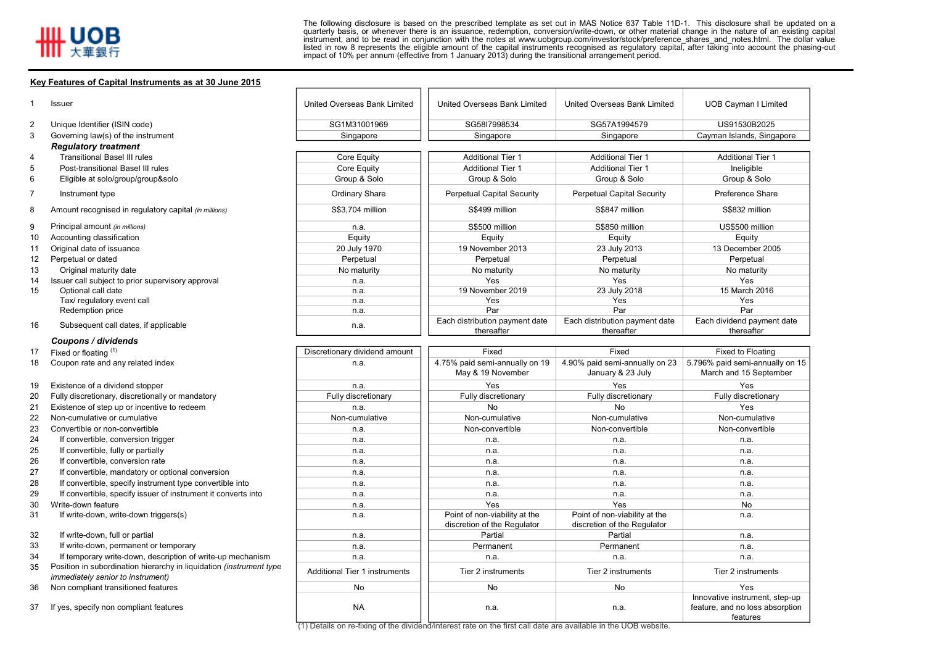8

9

17

The following disclosure is based on the prescribed template as set out in MAS Notice <sup>637</sup> Table 11D-1. This disclosure shall be updated on <sup>a</sup> quarterly basis, or whenever there is an issuance, redemption, conversion/write-down, or other material change in the nature of an existing capital instrument, and to be read in conjunction with the notes at www.uobgroup.com/investor/stock/preference\_shares\_and\_notes.html. The dollar value listed in row <sup>8</sup> represents the eligible amount of the capital instruments recognised as regulatory capital, after taking into account the phasing-out impact of 10% per annum (effective from <sup>1</sup> January 2013) during the transitional arrangement period.

## **Key Features of Capital Instruments as at 30 June 2015**

|    | Issuer                                                | United Overseas Bank Limited  | United Overseas Bank Limited                 | <b>United Overseas Bank Limited</b>          | <b>UOB Cayman I Limited</b>              |
|----|-------------------------------------------------------|-------------------------------|----------------------------------------------|----------------------------------------------|------------------------------------------|
|    |                                                       |                               |                                              |                                              |                                          |
|    | Unique Identifier (ISIN code)                         | SG1M31001969                  | SG58I7998534                                 | SG57A1994579                                 | US91530B2025                             |
|    | Governing law(s) of the instrument                    | Singapore                     | Singapore                                    | Singapore                                    | Cayman Islands, Singapore                |
|    | <b>Regulatory treatment</b>                           |                               |                                              |                                              |                                          |
|    | <b>Transitional Basel III rules</b>                   | Core Equity                   | <b>Additional Tier 1</b>                     | <b>Additional Tier 1</b>                     | <b>Additional Tier 1</b>                 |
|    | Post-transitional Basel III rules                     | Core Equity                   | <b>Additional Tier 1</b>                     | <b>Additional Tier 1</b>                     | Ineligible                               |
|    | Eligible at solo/group/group&solo                     | Group & Solo                  | Group & Solo                                 | Group & Solo                                 | Group & Solo                             |
|    | Instrument type                                       | Ordinary Share                | <b>Perpetual Capital Security</b>            | <b>Perpetual Capital Security</b>            | <b>Preference Share</b>                  |
|    | Amount recognised in regulatory capital (in millions) | S\$3.704 million              | S\$499 million                               | S\$847 million                               | S\$832 million                           |
|    | Principal amount (in millions)                        | n.a.                          | S\$500 million                               | S\$850 million                               | US\$500 million                          |
| 10 | Accounting classification                             | Equity                        | Equity                                       | Equity                                       | Equity                                   |
| 11 | Original date of issuance                             | 20 July 1970                  | 19 November 2013                             | 23 July 2013                                 | 13 December 2005                         |
| 12 | Perpetual or dated                                    | Perpetual                     | Perpetual                                    | Perpetual                                    | Perpetual                                |
| 13 | Original maturity date                                | No maturity                   | No maturity                                  | No maturity                                  | No maturity                              |
| 14 | Issuer call subject to prior supervisory approval     | n.a.                          | Yes                                          | Yes                                          | Yes                                      |
| 15 | Optional call date                                    | n.a.                          | 19 November 2019                             | 23 July 2018                                 | 15 March 2016                            |
|    | Tax/ regulatory event call                            | n.a.                          | Yes                                          | Yes                                          | Yes                                      |
|    | Redemption price                                      | n.a.                          | Par                                          | Par                                          | Par                                      |
| 16 | Subsequent call dates, if applicable                  | n.a.                          | Each distribution payment date<br>thereafter | Each distribution payment date<br>thereafter | Each dividend payment date<br>thereafter |
|    | Coupons / dividends                                   |                               |                                              |                                              |                                          |
| 17 | Fixed or floating $(1)$                               | Discretionary dividend amount | Fixed                                        | Fixed                                        | Fixed to Floating                        |
| 18 | Coupon rate and any related index                     | n.a.                          | 4.75% paid semi-annually on 19               | 4.90% paid semi-annually on 23               | 5.796% paid semi-annually on 15          |
|    |                                                       |                               | May & 19 November                            | January & 23 July                            | March and 15 September                   |
| 19 | Existence of a dividend stopper                       | n.a.                          | Yes                                          | Yes                                          | Yes                                      |
| 20 | Fully discretionary, discretionally or mandatory      | Fully discretionary           | Fully discretionary                          | Fully discretionary                          | Fully discretionary                      |
|    |                                                       |                               |                                              |                                              |                                          |

- 21 Existence of step up or incentive to redeem<br>22 Non-cumulative or cumulative
- 
- 
- 
- 
- 
- 
- 
- 
- 
- 

- 
- If temporary write-down, description of write-up mechanism
- 35 Position in subordination hierarchy in liquidation *(instrument type immediately senior to instrument)*
- 
- 

n.a. <u>n.a. No No No Y</u>es 22 Non-cumulative or cumulative Non-cumulative Non-cumulative Non-cumulative Non-cumulative Non-cumulative Non-cumulative Non-cumulative Non-cumulative Non-cumulative Non-cumulative Non-cumulative Non-cumulative Non-cumula 23 Convertible or non-convertible Non-convertible Non-convertible Non-convertible Non-convertible Non-convertible <sup>24</sup> If convertible, conversion trigger n.a. n.a. n.a. n.a. 25 If convertible, fully or partially nearest and the control of the control of the control of the control of the control of the control of the control of the control of the control of the control of the control of the con <sup>26</sup> If convertible, conversion rate n.a. n.a. n.a. n.a. <sup>27</sup> If convertible, mandatory or optional conversion n.a. n.a. n.a. n.a. <sup>28</sup> If convertible, specify instrument type convertible into n.a. n.a. n.a. n.a. <sup>29</sup> If convertible, specify issuer of instrument it converts into n.a. n.a. n.a. n.a. 30 Write-down feature n.a. Notice the contract of the Nestern Annual Medicine of the Nestern Annual Medicine of No 31 If write-down, write-down triggers(s) notice that is not non-viability at the number of non-viability at the discretion of the RegulatorPoint of non-viability at the discretion of the Regulatorn.a.32 If write-down, full or partial n.a. **According to the contract of the contract of the contract of the contract of the contract of the contract of the contract of the contract of the contract of the contract of the contr** <sup>33</sup> If write-down, permanent or temporary n.a. Permanent Permanent n.a. n.a. n.a. n.a. n.a. ry in individual transmittance in the Additional Tier 1 instruments Tier 2 instruments Tier 2 instruments Tier 2 instruments Tier 2 instruments 36 Non compliant transitioned features No No No No No No No No No Yes 37 If yes, specify non compliant features NA next NA next NA next NA n.a. n.a. n.a. n.a. n.a. n.a. Innovative instrument, step-up feature, and no loss absorption features

(1) Details on re-fixing of the dividend/interest rate on the first call date are available in the UOB website.